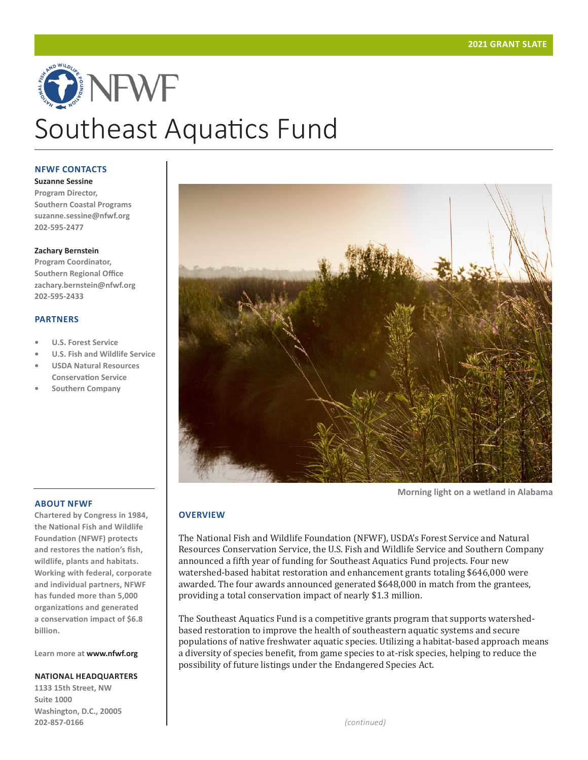# ONEWE Southeast Aquatics Fund

#### **NFWF CONTACTS**

**Suzanne Sessine Program Director, Southern Coastal Programs suzanne.sessine@nfwf.org 202-595-2477**

#### **Zachary Bernstein**

**Program Coordinator, Southern Regional Office zachary.bernstein@nfwf.org 202-595-2433**

#### **PARTNERS**

- **• U.S. Forest Service**
- **• U.S. Fish and Wildlife Service**
- **• USDA Natural Resources Conservation Service**
- **• Southern Company**



**Morning light on a wetland in Alabama**

# **OVERVIEW**

The National Fish and Wildlife Foundation (NFWF), USDA's Forest Service and Natural Resources Conservation Service, the U.S. Fish and Wildlife Service and Southern Company announced a fifth year of funding for Southeast Aquatics Fund projects. Four new watershed-based habitat restoration and enhancement grants totaling \$646,000 were awarded. The four awards announced generated \$648,000 in match from the grantees, providing a total conservation impact of nearly \$1.3 million.

The Southeast Aquatics Fund is a competitive grants program that supports watershedbased restoration to improve the health of southeastern aquatic systems and secure populations of native freshwater aquatic species. Utilizing a habitat-based approach means a diversity of species benefit, from game species to at-risk species, helping to reduce the possibility of future listings under the Endangered Species Act.

# **ABOUT NFWF**

**Chartered by Congress in 1984, the National Fish and Wildlife Foundation (NFWF) protects and restores the nation's fish, wildlife, plants and habitats. Working with federal, corporate and individual partners, NFWF has funded more than 5,000 organizations and generated a conservation impact of \$6.8 billion.**

**Learn more at www.nfwf.org**

#### **NATIONAL HEADQUARTERS**

**1133 15th Street, NW Suite 1000 Washington, D.C., 20005 202-857-0166**